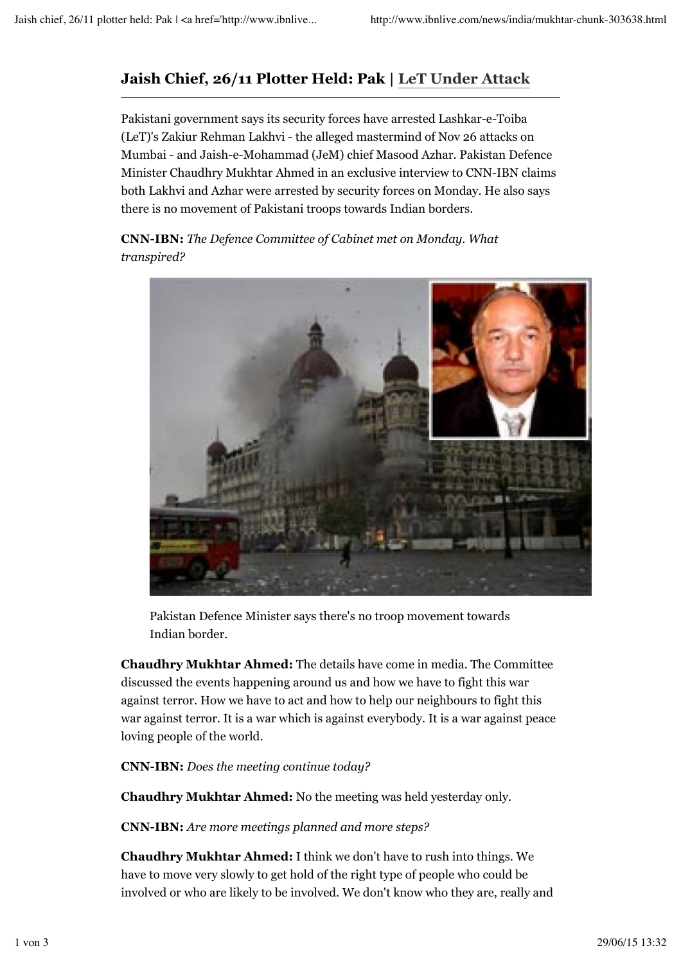## **Jaish Chief, 26/11 Plotter Held: Pak | LeT Under Attack**

Pakistani government says its security forces have arrested Lashkar-e-Toiba (LeT)'s Zakiur Rehman Lakhvi - the alleged mastermind of Nov 26 attacks on Mumbai - and Jaish-e-Mohammad (JeM) chief Masood Azhar. Pakistan Defence Minister Chaudhry Mukhtar Ahmed in an exclusive interview to CNN-IBN claims both Lakhvi and Azhar were arrested by security forces on Monday. He also says there is no movement of Pakistani troops towards Indian borders.

**CNN-IBN:** *The Defence Committee of Cabinet met on Monday. What transpired?*



Pakistan Defence Minister says there's no troop movement towards Indian border.

**Chaudhry Mukhtar Ahmed:** The details have come in media. The Committee discussed the events happening around us and how we have to fight this war against terror. How we have to act and how to help our neighbours to fight this war against terror. It is a war which is against everybody. It is a war against peace loving people of the world.

**CNN-IBN:** *Does the meeting continue today?*

**Chaudhry Mukhtar Ahmed:** No the meeting was held yesterday only.

**CNN-IBN:** *Are more meetings planned and more steps?*

**Chaudhry Mukhtar Ahmed:** I think we don't have to rush into things. We have to move very slowly to get hold of the right type of people who could be involved or who are likely to be involved. We don't know who they are, really and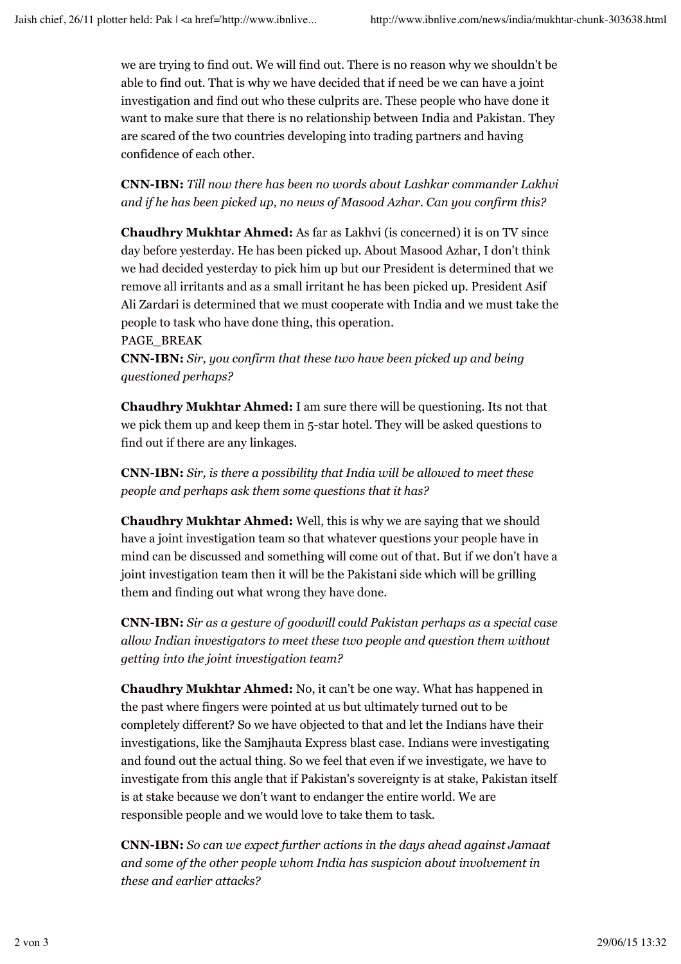we are trying to find out. We will find out. There is no reason why we shouldn't be able to find out. That is why we have decided that if need be we can have a joint investigation and find out who these culprits are. These people who have done it want to make sure that there is no relationship between India and Pakistan. They are scared of the two countries developing into trading partners and having confidence of each other.

**CNN-IBN:** *Till now there has been no words about Lashkar commander Lakhvi and if he has been picked up, no news of Masood Azhar. Can you confirm this?*

**Chaudhry Mukhtar Ahmed:** As far as Lakhvi (is concerned) it is on TV since day before yesterday. He has been picked up. About Masood Azhar, I don't think we had decided yesterday to pick him up but our President is determined that we remove all irritants and as a small irritant he has been picked up. President Asif Ali Zardari is determined that we must cooperate with India and we must take the people to task who have done thing, this operation.

PAGE\_BREAK

**CNN-IBN:** *Sir, you confirm that these two have been picked up and being questioned perhaps?*

**Chaudhry Mukhtar Ahmed:** I am sure there will be questioning. Its not that we pick them up and keep them in 5-star hotel. They will be asked questions to find out if there are any linkages.

**CNN-IBN:** *Sir, is there a possibility that India will be allowed to meet these people and perhaps ask them some questions that it has?*

**Chaudhry Mukhtar Ahmed:** Well, this is why we are saying that we should have a joint investigation team so that whatever questions your people have in mind can be discussed and something will come out of that. But if we don't have a joint investigation team then it will be the Pakistani side which will be grilling them and finding out what wrong they have done.

**CNN-IBN:** *Sir as a gesture of goodwill could Pakistan perhaps as a special case allow Indian investigators to meet these two people and question them without getting into the joint investigation team?*

**Chaudhry Mukhtar Ahmed:** No, it can't be one way. What has happened in the past where fingers were pointed at us but ultimately turned out to be completely different? So we have objected to that and let the Indians have their investigations, like the Samjhauta Express blast case. Indians were investigating and found out the actual thing. So we feel that even if we investigate, we have to investigate from this angle that if Pakistan's sovereignty is at stake, Pakistan itself is at stake because we don't want to endanger the entire world. We are responsible people and we would love to take them to task.

**CNN-IBN:** *So can we expect further actions in the days ahead against Jamaat and some of the other people whom India has suspicion about involvement in these and earlier attacks?*